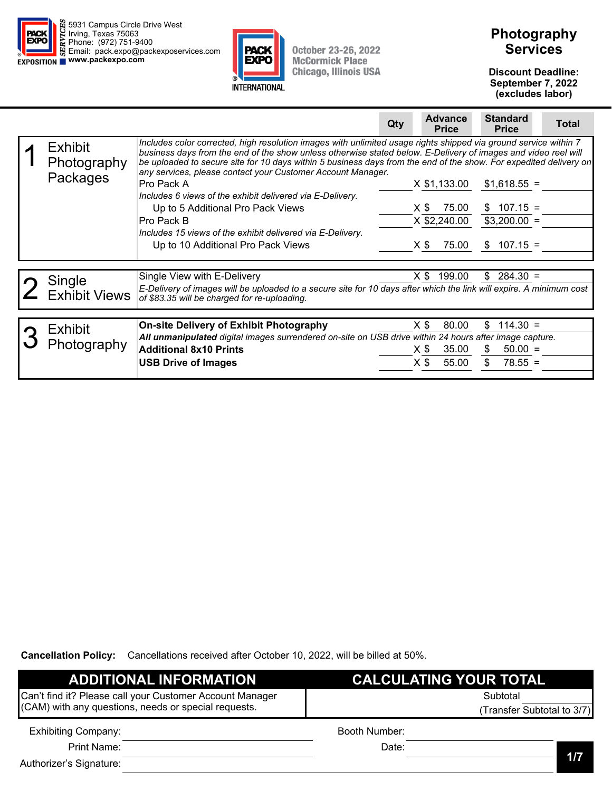



# **Photography Services**

**Discount Deadline: September 7, 2022 (excludes labor)** 

|                                           | <b>Standard</b><br><b>Advance</b><br><b>Total</b><br>Qty<br><b>Price</b><br><b>Price</b>                                                                                                                                                                                                                                                                                                                                                                                                                                                                                                                                                                                                                                                                                                        |
|-------------------------------------------|-------------------------------------------------------------------------------------------------------------------------------------------------------------------------------------------------------------------------------------------------------------------------------------------------------------------------------------------------------------------------------------------------------------------------------------------------------------------------------------------------------------------------------------------------------------------------------------------------------------------------------------------------------------------------------------------------------------------------------------------------------------------------------------------------|
| <b>Exhibit</b><br>Photography<br>Packages | Includes color corrected, high resolution images with unlimited usage rights shipped via ground service within 7<br>business days from the end of the show unless otherwise stated below. E-Delivery of images and video reel will<br>be uploaded to secure site for 10 days within 5 business days from the end of the show. For expedited delivery on<br>any services, please contact your Customer Account Manager.<br>Pro Pack A<br>X \$1,133.00<br>$$1,618.55 =$<br>Includes 6 views of the exhibit delivered via E-Delivery.<br>$$107.15 =$<br>75.00<br>Up to 5 Additional Pro Pack Views<br>X \$<br>X \$2,240.00<br>$$3,200.00 =$<br>Pro Pack B<br>Includes 15 views of the exhibit delivered via E-Delivery.<br>75.00<br>$107.15 =$<br>Up to 10 Additional Pro Pack Views<br>X \$<br>S. |
| Single<br><b>Exhibit Views</b>            | $284.30 =$<br>Single View with E-Delivery<br>X \$<br>199.00<br>\$<br>E-Delivery of images will be uploaded to a secure site for 10 days after which the link will expire. A minimum cost<br>of \$83.35 will be charged for re-uploading.                                                                                                                                                                                                                                                                                                                                                                                                                                                                                                                                                        |
| <b>Exhibit</b><br>Photography             | $114.30 =$<br>80.00<br>\$<br><b>On-site Delivery of Exhibit Photography</b><br>X \$<br>All unmanipulated digital images surrendered on-site on USB drive within 24 hours after image capture.<br><b>Additional 8x10 Prints</b><br>35.00<br>$50.00 =$<br>S.<br>X \$<br>55.00<br>\$<br>X \$<br>$78.55 =$<br><b>USB Drive of Images</b>                                                                                                                                                                                                                                                                                                                                                                                                                                                            |

| <b>ADDITIONAL INFORMATION</b>                            | <b>CALCULATING YOUR TOTAL</b> |                           |
|----------------------------------------------------------|-------------------------------|---------------------------|
| Can't find it? Please call your Customer Account Manager | Subtotal                      |                           |
| (CAM) with any questions, needs or special requests.     |                               | Transfer Subtotal to 3/7) |
| <b>Exhibiting Company:</b>                               | Booth Number:                 |                           |
| Print Name:                                              | Date:                         |                           |
| Authorizer's Signature:                                  |                               | 1/7                       |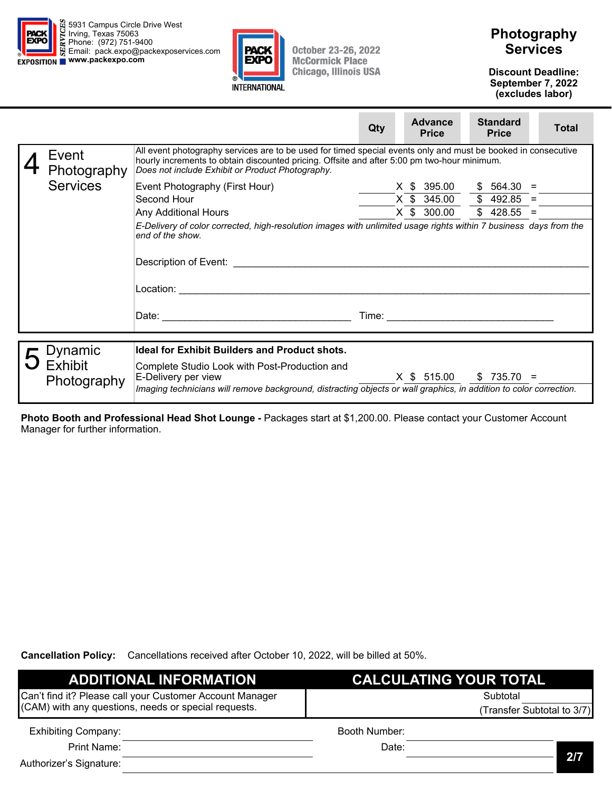





**Discount Deadline: September 7, 2022 (excludes labor)** 

|                      |                                                                                                                                                                                                                                                                                                                                                                                              | Qty   | <b>Advance</b><br><b>Price</b> | <b>Standard</b><br><b>Price</b> | <b>Total</b> |
|----------------------|----------------------------------------------------------------------------------------------------------------------------------------------------------------------------------------------------------------------------------------------------------------------------------------------------------------------------------------------------------------------------------------------|-------|--------------------------------|---------------------------------|--------------|
| Event<br>Photography | All event photography services are to be used for timed special events only and must be booked in consecutive<br>hourly increments to obtain discounted pricing. Offsite and after 5:00 pm two-hour minimum.<br>Does not include Exhibit or Product Photography.                                                                                                                             |       |                                |                                 |              |
| <b>Services</b>      | Event Photography (First Hour)                                                                                                                                                                                                                                                                                                                                                               |       | X \$ 395.00                    | $$564.30 =$                     |              |
|                      | Second Hour                                                                                                                                                                                                                                                                                                                                                                                  |       | X \$ 345.00                    | $$492.85 =$                     |              |
|                      | <b>Any Additional Hours</b>                                                                                                                                                                                                                                                                                                                                                                  |       | X \$ 300.00                    | $$428.55 =$                     |              |
|                      | E-Delivery of color corrected, high-resolution images with unlimited usage rights within 7 business days from the<br>end of the show.<br>Description of Event: Network and Changes and Changes and Changes and Changes and Changes and Changes and Changes and Changes and Changes and Changes and Changes and Changes and Changes and Changes and Changes and Changes<br>Location:<br>Date: | Time: |                                |                                 |              |
| Dynamic              | <b>Ideal for Exhibit Builders and Product shots.</b>                                                                                                                                                                                                                                                                                                                                         |       |                                |                                 |              |

|  | $\overline{\phantom{a}}$ Dynamic | <b>Ideal for Exhibit Builders and Product shots.</b>                                                               |
|--|----------------------------------|--------------------------------------------------------------------------------------------------------------------|
|  | $\overline{O}$ Exhibit           | Complete Studio Look with Post-Production and                                                                      |
|  | Photography                      | X \$ 515.00<br>$$735.70 =$<br>∣E-Delivery per view                                                                 |
|  |                                  | Imaging technicians will remove background, distracting objects or wall graphics, in addition to color correction. |

**Photo Booth and Professional Head Shot Lounge -** Packages start at \$1,200.00. Please contact your Customer Account Manager for further information.

| <b>ADDITIONAL INFORMATION</b>                            | CALCULATING YOUR TOTAL     |     |
|----------------------------------------------------------|----------------------------|-----|
| Can't find it? Please call your Customer Account Manager | Subtotal                   |     |
| (CAM) with any questions, needs or special requests.     | (Transfer Subtotal to 3/7) |     |
| <b>Exhibiting Company:</b>                               | Booth Number:              |     |
| Print Name:                                              | Date:                      |     |
| Authorizer's Signature:                                  |                            | 2/7 |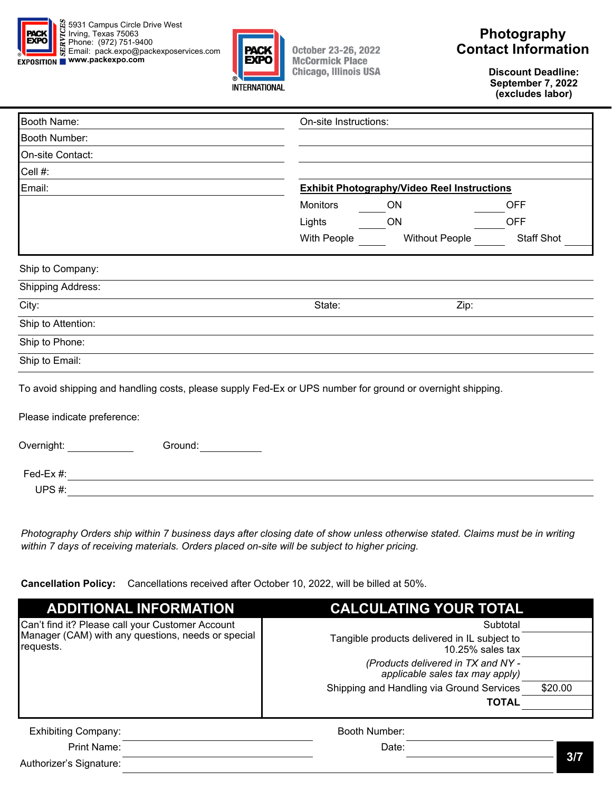



## **Photography Contact Information**

**Discount Deadline: September 7, 2022 (excludes labor)** 

| <b>Booth Name:</b>          | On-site Instructions:                                                                                      |
|-----------------------------|------------------------------------------------------------------------------------------------------------|
| Booth Number:               |                                                                                                            |
| On-site Contact:            |                                                                                                            |
| Cell #:                     |                                                                                                            |
| Email:                      | <b>Exhibit Photography/Video Reel Instructions</b>                                                         |
|                             | <b>Monitors</b><br>ON<br><b>OFF</b>                                                                        |
|                             | Lights<br><b>OFF</b><br>ON                                                                                 |
|                             | With People<br><b>Staff Shot</b><br><b>Without People</b>                                                  |
| Ship to Company:            |                                                                                                            |
| <b>Shipping Address:</b>    |                                                                                                            |
| City:                       | Zip:<br>State:                                                                                             |
| Ship to Attention:          |                                                                                                            |
| Ship to Phone:              |                                                                                                            |
| Ship to Email:              |                                                                                                            |
| Please indicate preference: | To avoid shipping and handling costs, please supply Fed-Ex or UPS number for ground or overnight shipping. |
|                             |                                                                                                            |
| Overnight:<br>Ground:       |                                                                                                            |
| Fed-Ex #:                   |                                                                                                            |
| UPS#:                       |                                                                                                            |

*Photography Orders ship within 7 business days after closing date of show unless otherwise stated. Claims must be in writing within 7 days of receiving materials. Orders placed on-site will be subject to higher pricing.* 

**Cancellation Policy:** Cancellations received after October 10, 2022, will be billed at 50%.

| <b>ADDITIONAL INFORMATION</b>                                   | <b>CALCULATING YOUR TOTAL</b>                                         |         |
|-----------------------------------------------------------------|-----------------------------------------------------------------------|---------|
| Can't find it? Please call your Customer Account                | Subtotal                                                              |         |
| Manager (CAM) with any questions, needs or special<br>requests. | Tangible products delivered in IL subject to<br>$10.25\%$ sales tax   |         |
|                                                                 | (Products delivered in TX and NY -<br>applicable sales tax may apply) |         |
|                                                                 | Shipping and Handling via Ground Services                             | \$20.00 |
|                                                                 | <b>TOTAL</b>                                                          |         |
| <b>Exhibiting Company:</b>                                      | Booth Number:                                                         |         |
| Print Name:                                                     | Date:                                                                 |         |

Authorizer's Signature: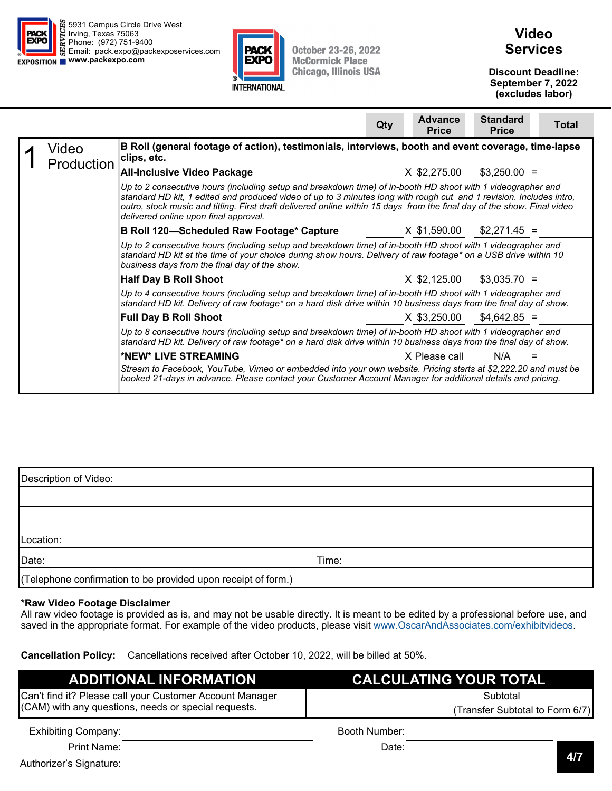



## **Video Services**

**Discount Deadline: September 7, 2022 (excludes labor)** 

|                     |                                                                                                                                                                                                                                                                                                                                                                                                        | Qty | <b>Advance</b><br><b>Price</b> | <b>Standard</b><br><b>Price</b> | Total |
|---------------------|--------------------------------------------------------------------------------------------------------------------------------------------------------------------------------------------------------------------------------------------------------------------------------------------------------------------------------------------------------------------------------------------------------|-----|--------------------------------|---------------------------------|-------|
| Video<br>Production | B Roll (general footage of action), testimonials, interviews, booth and event coverage, time-lapse<br>clips, etc.                                                                                                                                                                                                                                                                                      |     |                                |                                 |       |
|                     | <b>All-Inclusive Video Package</b>                                                                                                                                                                                                                                                                                                                                                                     |     | X \$2,275.00                   | $$3,250.00 =$                   |       |
|                     | Up to 2 consecutive hours (including setup and breakdown time) of in-booth HD shoot with 1 videographer and<br>standard HD kit, 1 edited and produced video of up to 3 minutes long with rough cut and 1 revision. Includes intro,<br>outro, stock music and titling. First draft delivered online within 15 days from the final day of the show. Final video<br>delivered online upon final approval. |     |                                |                                 |       |
|                     | B Roll 120-Scheduled Raw Footage* Capture                                                                                                                                                                                                                                                                                                                                                              |     | X \$1,590.00                   | $$2,271.45 =$                   |       |
|                     | Up to 2 consecutive hours (including setup and breakdown time) of in-booth HD shoot with 1 videographer and<br>standard HD kit at the time of your choice during show hours. Delivery of raw footage* on a USB drive within 10<br>business days from the final day of the show.                                                                                                                        |     |                                |                                 |       |
|                     | <b>Half Day B Roll Shoot</b>                                                                                                                                                                                                                                                                                                                                                                           |     | X \$2,125.00                   | $$3,035.70 =$                   |       |
|                     | Up to 4 consecutive hours (including setup and breakdown time) of in-booth HD shoot with 1 videographer and<br>standard HD kit. Delivery of raw footage* on a hard disk drive within 10 business days from the final day of show.                                                                                                                                                                      |     |                                |                                 |       |
|                     | <b>Full Day B Roll Shoot</b>                                                                                                                                                                                                                                                                                                                                                                           |     | X \$3,250.00                   | $$4,642.85 =$                   |       |
|                     | Up to 8 consecutive hours (including setup and breakdown time) of in-booth HD shoot with 1 videographer and<br>standard HD kit. Delivery of raw footage* on a hard disk drive within 10 business days from the final day of show.                                                                                                                                                                      |     |                                |                                 |       |
|                     | *NEW* LIVE STREAMING<br>Stream to Facebook, YouTube, Vimeo or embedded into your own website. Pricing starts at \$2,222.20 and must be<br>booked 21-days in advance. Please contact your Customer Account Manager for additional details and pricing.                                                                                                                                                  |     | X Please call                  | N/A                             |       |

| Description of Video:                                         |       |  |  |  |
|---------------------------------------------------------------|-------|--|--|--|
|                                                               |       |  |  |  |
|                                                               |       |  |  |  |
| Location:                                                     |       |  |  |  |
| Date:                                                         | Time: |  |  |  |
| (Telephone confirmation to be provided upon receipt of form.) |       |  |  |  |

#### **\*Raw Video Footage Disclaimer**

All raw video footage is provided as is, and may not be usable directly. It is meant to be edited by a professional before use, and saved in the appropriate format. For example of the video products, please visit www.OscarAndAssociates.com/exhibitvideos.

| <b>ADDITIONAL INFORMATION</b>                            | <b>CALCULATING YOUR TOTAL</b>   |
|----------------------------------------------------------|---------------------------------|
| Can't find it? Please call your Customer Account Manager | Subtotal                        |
| (CAM) with any questions, needs or special requests.     | (Transfer Subtotal to Form 6/7) |
| <b>Exhibiting Company:</b>                               | Booth Number:                   |
| <b>Print Name:</b>                                       | Date:                           |
| Authorizer's Signature:                                  | 4/7                             |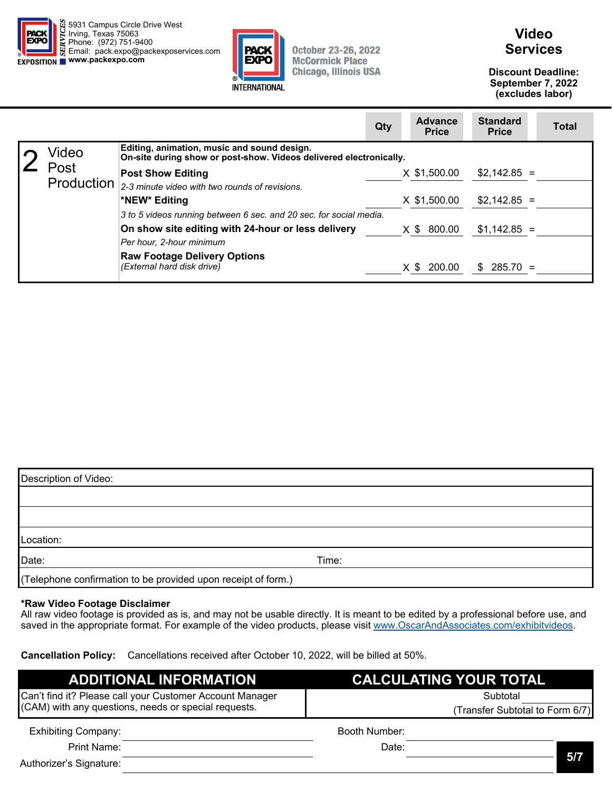



## **Video Services**

**Discount Deadline: September 7, 2022 (excludes labor)** 

 $\sim$ 

|            |                                                                                                                   | Qty | <b>Advance</b><br><b>Price</b> | <b>Standard</b><br><b>Price</b> | <b>Total</b> |
|------------|-------------------------------------------------------------------------------------------------------------------|-----|--------------------------------|---------------------------------|--------------|
| Video      | Editing, animation, music and sound design.<br>On-site during show or post-show. Videos delivered electronically. |     |                                |                                 |              |
| Post       | <b>Post Show Editing</b>                                                                                          |     | X \$1,500.00                   | $$2,142.85 =$                   |              |
| Production | 2-3 minute video with two rounds of revisions.                                                                    |     |                                |                                 |              |
|            | *NEW* Editing                                                                                                     |     | X \$1,500.00                   | $$2,142.85 =$                   |              |
|            | 3 to 5 videos running between 6 sec. and 20 sec. for social media.                                                |     |                                |                                 |              |
|            | On show site editing with 24-hour or less delivery                                                                |     | X \$ 800.00                    | $$1,142.85 =$                   |              |
|            | Per hour, 2-hour minimum                                                                                          |     |                                |                                 |              |
|            | <b>Raw Footage Delivery Options</b><br>(External hard disk drive)                                                 |     | $X$ \$ 200.00                  | $$285.70 =$                     |              |

| Description of Video:                                         |       |  |  |  |
|---------------------------------------------------------------|-------|--|--|--|
|                                                               |       |  |  |  |
|                                                               |       |  |  |  |
| Location:                                                     |       |  |  |  |
| Date:                                                         | Time: |  |  |  |
| (Telephone confirmation to be provided upon receipt of form.) |       |  |  |  |

#### **\*Raw Video Footage Disclaimer**

All raw video footage is provided as is, and may not be usable directly. It is meant to be edited by a professional before use, and saved in the appropriate format. For example of the video products, please visit www.OscarAndAssociates.com/exhibitvideos.

| <b>ADDITIONAL INFORMATION</b>                            | <b>CALCULATING YOUR TOTAL</b>   |  |  |
|----------------------------------------------------------|---------------------------------|--|--|
| Can't find it? Please call your Customer Account Manager | Subtotal                        |  |  |
| (CAM) with any questions, needs or special requests.     | (Transfer Subtotal to Form 6/7) |  |  |
| <b>Exhibiting Company:</b>                               | Booth Number:                   |  |  |
| Print Name:                                              | Date:                           |  |  |
| Authorizer's Signature:                                  | 5/7                             |  |  |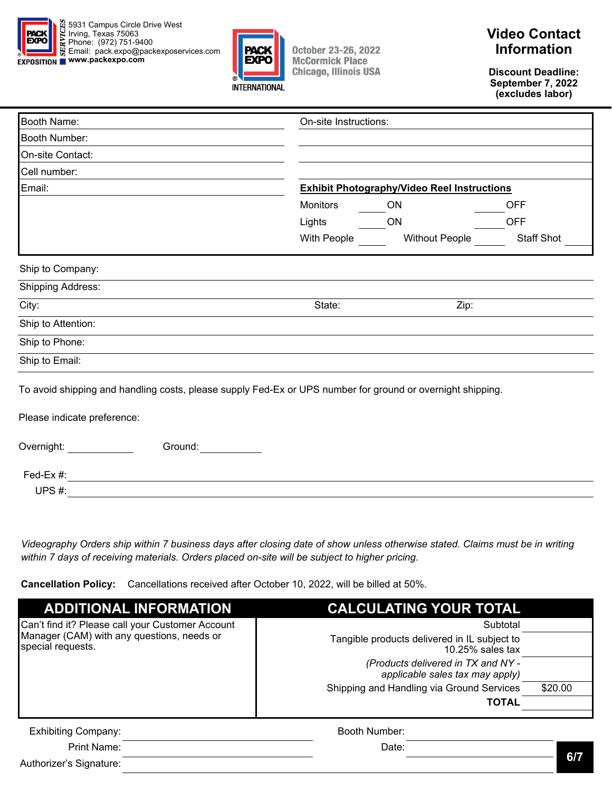



# **Video Contact Information**

**Discount Deadline: September 7, 2022 (excludes labor)** 

| Booth Name:                                                                                                                               |                 | On-site Instructions:                              |                   |  |
|-------------------------------------------------------------------------------------------------------------------------------------------|-----------------|----------------------------------------------------|-------------------|--|
| Booth Number:                                                                                                                             |                 |                                                    |                   |  |
| On-site Contact:                                                                                                                          |                 |                                                    |                   |  |
| Cell number:                                                                                                                              |                 |                                                    |                   |  |
| Email:                                                                                                                                    |                 | <b>Exhibit Photography/Video Reel Instructions</b> |                   |  |
|                                                                                                                                           | <b>Monitors</b> | ON                                                 | <b>OFF</b>        |  |
|                                                                                                                                           | Lights          | <b>ON</b>                                          | <b>OFF</b>        |  |
|                                                                                                                                           | With People     | <b>Without People</b>                              | <b>Staff Shot</b> |  |
| Ship to Company:                                                                                                                          |                 |                                                    |                   |  |
|                                                                                                                                           |                 |                                                    |                   |  |
| <b>Shipping Address:</b>                                                                                                                  |                 |                                                    |                   |  |
| City:                                                                                                                                     | State:          | Zip:                                               |                   |  |
| Ship to Attention:                                                                                                                        |                 |                                                    |                   |  |
| Ship to Phone:                                                                                                                            |                 |                                                    |                   |  |
| Ship to Email:                                                                                                                            |                 |                                                    |                   |  |
| To avoid shipping and handling costs, please supply Fed-Ex or UPS number for ground or overnight shipping.<br>Please indicate preference: |                 |                                                    |                   |  |
| Overnight:<br>Ground:                                                                                                                     |                 |                                                    |                   |  |
| Fed-Ex #:                                                                                                                                 |                 |                                                    |                   |  |
| UPS#:                                                                                                                                     |                 |                                                    |                   |  |

*Videography Orders ship within 7 business days after closing date of show unless otherwise stated. Claims must be in writing within 7 days of receiving materials. Orders placed on-site will be subject to higher pricing.* 

**Cancellation Policy:** Cancellations received after October 10, 2022, will be billed at 50%.

| <b>ADDITIONAL INFORMATION</b>                                   | <b>CALCULATING YOUR TOTAL</b>                                         |         |
|-----------------------------------------------------------------|-----------------------------------------------------------------------|---------|
| Can't find it? Please call your Customer Account                | Subtotal                                                              |         |
| Manager (CAM) with any questions, needs or<br>special requests. | Tangible products delivered in IL subject to<br>$10.25\%$ sales tax   |         |
|                                                                 | (Products delivered in TX and NY -<br>applicable sales tax may apply) |         |
|                                                                 | Shipping and Handling via Ground Services                             | \$20.00 |
|                                                                 | <b>TOTAL</b>                                                          |         |
| <b>Exhibiting Company:</b>                                      | Booth Number:                                                         |         |
| Print Name:                                                     | Date:                                                                 |         |

Authorizer's Signature: